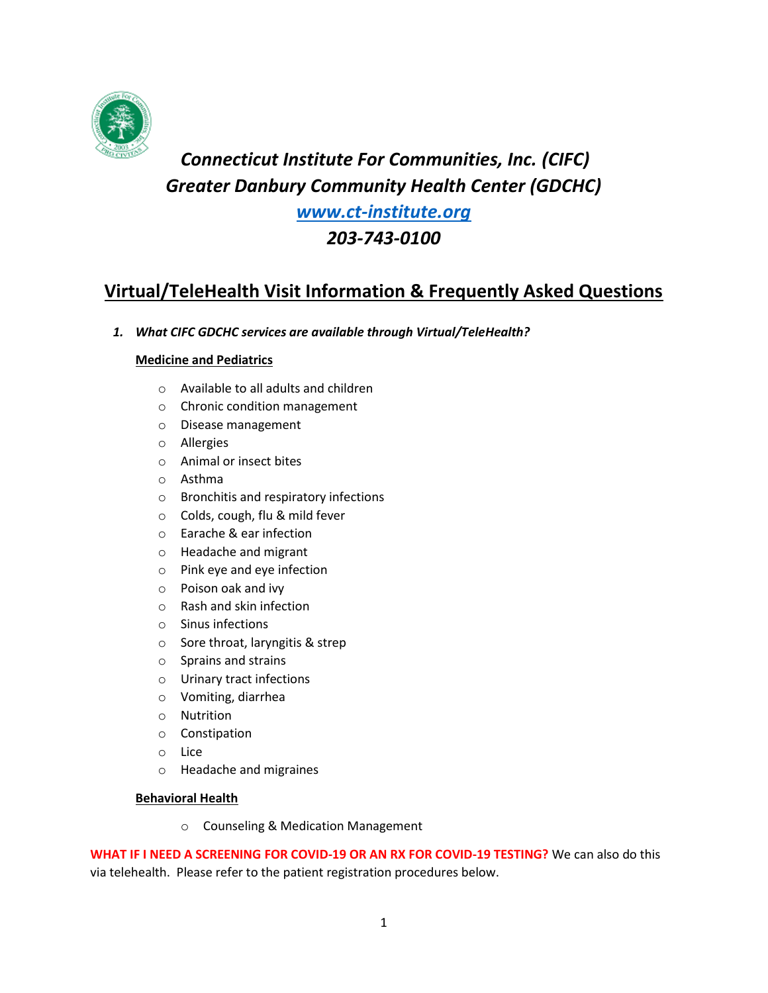

# *Connecticut Institute For Communities, Inc. (CIFC) Greater Danbury Community Health Center (GDCHC)*

*[www.ct-institute.org](http://www.ct-institute.org/)*

*203-743-0100*

## **Virtual/TeleHealth Visit Information & Frequently Asked Questions**

*1. What CIFC GDCHC services are available through Virtual/TeleHealth?* 

## **Medicine and Pediatrics**

- o Available to all adults and children
- o Chronic condition management
- o Disease management
- o Allergies
- o Animal or insect bites
- o Asthma
- o Bronchitis and respiratory infections
- o Colds, cough, flu & mild fever
- o Earache & ear infection
- o Headache and migrant
- o Pink eye and eye infection
- o Poison oak and ivy
- o Rash and skin infection
- o Sinus infections
- o Sore throat, laryngitis & strep
- o Sprains and strains
- o Urinary tract infections
- o Vomiting, diarrhea
- o Nutrition
- o Constipation
- o Lice
- o Headache and migraines

#### **Behavioral Health**

o Counseling & Medication Management

**WHAT IF I NEED A SCREENING FOR COVID-19 OR AN RX FOR COVID-19 TESTING?** We can also do this via telehealth. Please refer to the patient registration procedures below.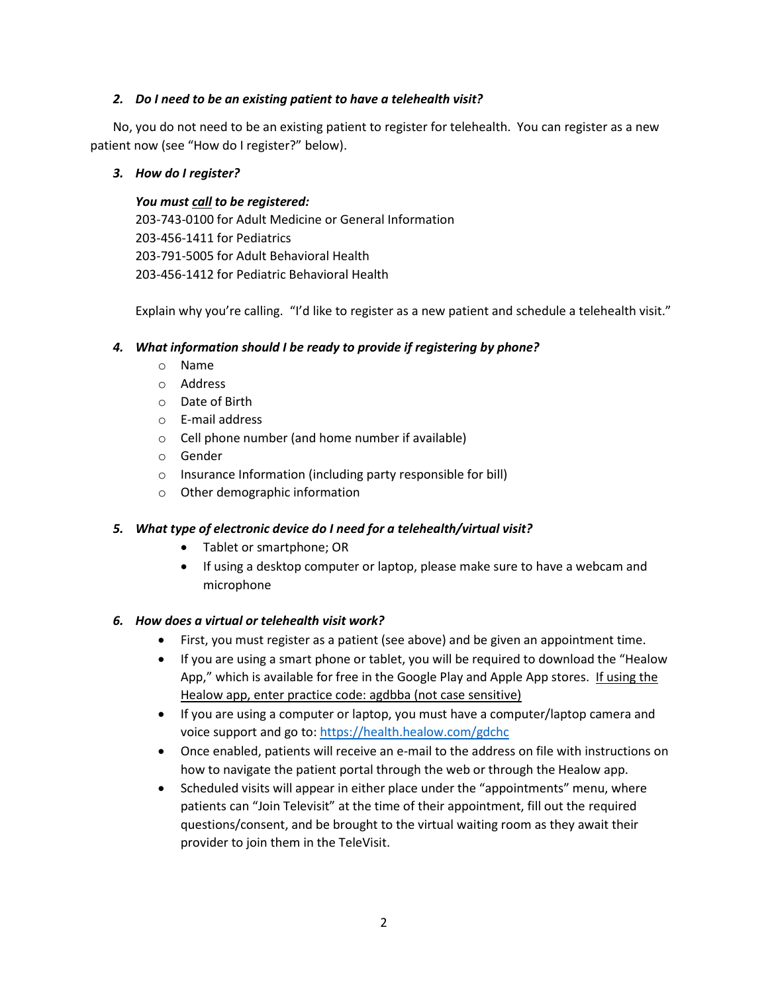#### *2. Do I need to be an existing patient to have a telehealth visit?*

No, you do not need to be an existing patient to register for telehealth. You can register as a new patient now (see "How do I register?" below).

### *3. How do I register?*

*You must call to be registered:* 203-743-0100 for Adult Medicine or General Information 203-456-1411 for Pediatrics 203-791-5005 for Adult Behavioral Health 203-456-1412 for Pediatric Behavioral Health

Explain why you're calling. "I'd like to register as a new patient and schedule a telehealth visit."

## *4. What information should I be ready to provide if registering by phone?*

- o Name
- o Address
- o Date of Birth
- o E-mail address
- o Cell phone number (and home number if available)
- o Gender
- o Insurance Information (including party responsible for bill)
- o Other demographic information

## *5. What type of electronic device do I need for a telehealth/virtual visit?*

- Tablet or smartphone; OR
- If using a desktop computer or laptop, please make sure to have a webcam and microphone

## *6. How does a virtual or telehealth visit work?*

- First, you must register as a patient (see above) and be given an appointment time.
- If you are using a smart phone or tablet, you will be required to download the "Healow App," which is available for free in the Google Play and Apple App stores. If using the Healow app, enter practice code: agdbba (not case sensitive)
- If you are using a computer or laptop, you must have a computer/laptop camera and voice support and go to:<https://health.healow.com/gdchc>
- Once enabled, patients will receive an e-mail to the address on file with instructions on how to navigate the patient portal through the web or through the Healow app.
- Scheduled visits will appear in either place under the "appointments" menu, where patients can "Join Televisit" at the time of their appointment, fill out the required questions/consent, and be brought to the virtual waiting room as they await their provider to join them in the TeleVisit.